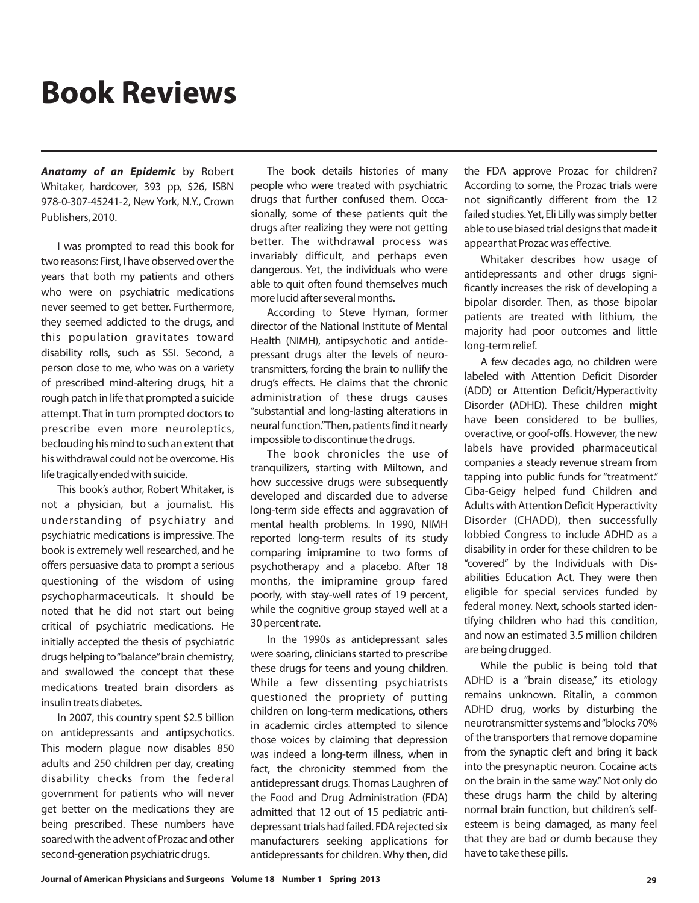## **Book Reviews**

*Anatomy of an Epidemic* by Robert Whitaker, hardcover, 393 pp, \$26, ISBN 978-0-307-45241-2, New York, N.Y., Crown Publishers, 2010.

I was prompted to read this book for two reasons: First, I have observed over the years that both my patients and others who were on psychiatric medications never seemed to get better. Furthermore, they seemed addicted to the drugs, and this population gravitates toward disability rolls, such as SSI. Second, a person close to me, who was on a variety of prescribed mind-altering drugs, hit a rough patch in life that prompted a suicide attempt. That in turn prompted doctors to prescribe even more neuroleptics, beclouding his mind to such an extent that his withdrawal could not be overcome. His life tragically ended with suicide.

This book's author, Robert Whitaker, is not a physician, but a journalist. His understanding of psychiatry and psychiatric medications is impressive. The book is extremely well researched, and he offers persuasive data to prompt a serious questioning of the wisdom of using psychopharmaceuticals. It should be noted that he did not start out being critical of psychiatric medications. He initially accepted the thesis of psychiatric drugs helping to"balance"brain chemistry, and swallowed the concept that these medications treated brain disorders as insulin treats diabetes.

In 2007, this country spent \$2.5 billion on antidepressants and antipsychotics. This modern plague now disables 850 adults and 250 children per day, creating disability checks from the federal government for patients who will never get better on the medications they are being prescribed. These numbers have soared with the advent of Prozac and other second-generation psychiatric drugs.

The book details histories of many people who were treated with psychiatric drugs that further confused them. Occasionally, some of these patients quit the drugs after realizing they were not getting better. The withdrawal process was invariably difficult, and perhaps even dangerous. Yet, the individuals who were able to quit often found themselves much more lucid after several months.

According to Steve Hyman, former director of the National Institute of Mental Health (NIMH), antipsychotic and antidepressant drugs alter the levels of neurotransmitters, forcing the brain to nullify the drug's effects. He claims that the chronic administration of these drugs causes "substantial and long-lasting alterations in neural function."Then, patients find it nearly impossible to discontinue the drugs.

The book chronicles the use of tranquilizers, starting with Miltown, and how successive drugs were subsequently developed and discarded due to adverse long-term side effects and aggravation of mental health problems. In 1990, NIMH reported long-term results of its study comparing imipramine to two forms of psychotherapy and a placebo. After 18 months, the imipramine group fared poorly, with stay-well rates of 19 percent, while the cognitive group stayed well at a 30 percent rate.

In the 1990s as antidepressant sales were soaring, clinicians started to prescribe these drugs for teens and young children. While a few dissenting psychiatrists questioned the propriety of putting children on long-term medications, others in academic circles attempted to silence those voices by claiming that depression was indeed a long-term illness, when in fact, the chronicity stemmed from the antidepressant drugs. Thomas Laughren of the Food and Drug Administration (FDA) admitted that 12 out of 15 pediatric antidepressant trials had failed. FDA rejected six manufacturers seeking applications for antidepressants for children. Why then, did

the FDA approve Prozac for children? According to some, the Prozac trials were not significantly different from the 12 failed studies.Yet, Eli Lilly was simply better able to use biased trial designs that made it appear that Prozac was effective.

Whitaker describes how usage of antidepressants and other drugs significantly increases the risk of developing a bipolar disorder. Then, as those bipolar patients are treated with lithium, the majority had poor outcomes and little long-term relief.

A few decades ago, no children were labeled with Attention Deficit Disorder (ADD) or Attention Deficit/Hyperactivity Disorder (ADHD). These children might have been considered to be bullies, overactive, or goof-offs. However, the new labels have provided pharmaceutical companies a steady revenue stream from tapping into public funds for "treatment." Ciba-Geigy helped fund Children and Adults with Attention Deficit Hyperactivity Disorder (CHADD), then successfully lobbied Congress to include ADHD as a disability in order for these children to be "covered" by the Individuals with Disabilities Education Act. They were then eligible for special services funded by federal money. Next, schools started identifying children who had this condition, and now an estimated 3.5 million children are being drugged.

While the public is being told that ADHD is a "brain disease," its etiology remains unknown. Ritalin, a common ADHD drug, works by disturbing the neurotransmitter systems and"blocks 70% of the transporters that remove dopamine from the synaptic cleft and bring it back into the presynaptic neuron. Cocaine acts on the brain in the same way." Not only do these drugs harm the child by altering normal brain function, but children's selfesteem is being damaged, as many feel that they are bad or dumb because they have to take these pills.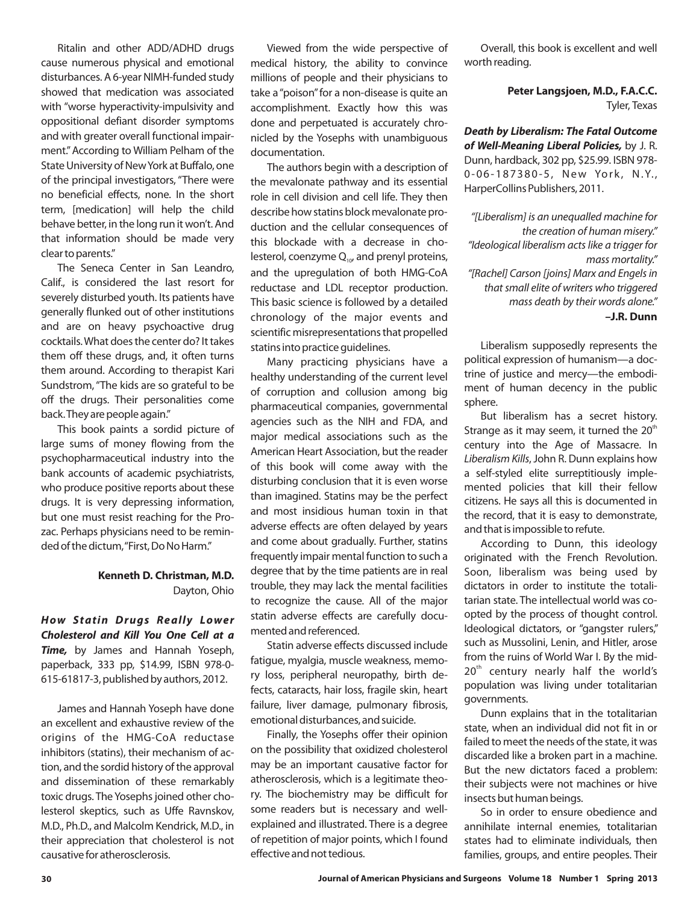Ritalin and other ADD/ADHD drugs cause numerous physical and emotional disturbances. A 6-year NIMH-funded study showed that medication was associated with "worse hyperactivity-impulsivity and oppositional defiant disorder symptoms and with greater overall functional impairment." According to William Pelham of the State University of NewYork at Buffalo, one of the principal investigators, "There were no beneficial effects, none. In the short term, [medication] will help the child behave better, in the long run it won't. And that information should be made very clear to parents."

The Seneca Center in San Leandro, Calif., is considered the last resort for severely disturbed youth. Its patients have generally flunked out of other institutions and are on heavy psychoactive drug cocktails. What does the center do? It takes them off these drugs, and, it often turns them around. According to therapist Kari Sundstrom, "The kids are so grateful to be off the drugs. Their personalities come back.They are people again."

This book paints a sordid picture of large sums of money flowing from the psychopharmaceutical industry into the bank accounts of academic psychiatrists, who produce positive reports about these drugs. It is very depressing information, but one must resist reaching for the Prozac. Perhaps physicians n eed to be reminded of the dictum, "First, Do No Harm."

## Dayton, Ohio **Kenneth D. Christman, M.D.**

**Time,** by James and Hannah Yoseph, paperback, 333 pp, \$14.99, ISBN 978-0- 615-61817-3, published by authors, 2012. *How Statin Drugs Really Lower Cholesterol and Kill You One Cell at a*

their appreciation that cholesterol is not causative for atherosclerosis. James and Hannah Yoseph have done an excellent and exhaustive review of the origins of the HMG-CoA reductase inhibitors (statins), their mechanism of action, and the sordid history of the approval and dissemination of these remarkably toxic drugs. The Yosephs joined other cholesterol skeptics, such as Uffe Ravnskov, M.D., Ph.D., and Malcolm Kendrick, M.D., in

Viewed from the wide perspective of medical history, the ability to convince millions of people and their physicians to take a "poison" for a non-disease is quite an accomplishment. Exactly how this was done and perpetuated is accurately chronicled by the Yosephs with unambiguous documentation.

The authors begin with a description of the mevalonate pathway and its essential role in cell division and cell life. They then describe how statins block mevalonate production and the cellular consequences of this blockade with a decrease in cholesterol, coenzyme  $Q_{10}$ , and prenyl proteins, and the upregulation of both HMG-CoA reductase and LDL receptor production. This basic science is followed by a detailed chronology of the major events and scientific misrepresentations that propelled statins into practice guidelines.

Many practicing physicians have a healthy understanding of the current level of corruption and collusion among big pharmaceutical companies, governmental agencies such as the NIH and FDA, and major medical associations such as the American Heart Association, but the reader of this book will come away with the disturbing conclusion that it is even worse than imagined. Statins may be the perfect and most insidious human toxin in that adverse effects are often delayed by years and come about gradually. Further, statins frequently impair mental function to such a degree that by the time patients are in real trouble, they may lack the mental facilities to recognize the cause. All of the major statin adverse effects are carefully documented and referenced.

Statin adverse effects discussed include fatigue, myalgia, muscle weakness, memory loss, peripheral neuropathy, birth defects, cataracts, hair loss, fragile skin, heart failure, liver damage, pulmonary fibrosis, emotional disturbances, and suicide.

Finally, the Yosephs offer their opinion on the possibility that oxidized cholesterol may be an important causative factor for atherosclerosis, which is a legitimate theory. The biochemistry may be difficult for some readers but is necessary and wellexplained and illustrated. There is a degree of repetition of major points, which I found effective and not tedious.

Overall, this book is excellent and well worth reading.

## Tyler, Texas **Peter Langsjoen, M.D., F.A.C.C.**

of Well-Meaning Liberal Policies, by J. R. Dunn, hardback, 302 pp, \$25.99. ISBN 978- 0-06-187380-5, New York, N.Y., HarperCollins Publishers, 2011. *Death by Liberalism: The Fatal Outcome*

**–J.R. Dunn** *"[Liberalism] is an unequalled machine for the creation of human misery." "Ideological liberalism acts like a trigger for mass mortality." "[Rachel] Carson [joins] Marx and Engels in that small elite of writers who triggered mass death by their words alone."*

Liberalism supposedly represents the political expression of humanism—a doctrine of justice and mercy—the embodiment of human decency in the public sphere.

But liberalism has a secret history. Strange as it may seem, it turned the  $20<sup>th</sup>$ century into the Age of Massacre. In Liberalism Kills, John R. Dunn explains how a self-styled elite surreptitiously implemented policies that kill their fellow citizens. He says all this is documented in the record, that it is easy to demonstrate, and that is impossible to refute.

According to Dunn, this ideology originated with the French Revolution. Soon, liberalism was being used by dictators in order to institute the totalitarian state. The intellectual world was coopted by the process of thought control. Ideological dictators, or "gangster rulers," such as Mussolini, Lenin, and Hitler, arose from the ruins of World War I. By the mid-20<sup>th</sup> century nearly half the world's population was living under totalitarian governments.

Dunn explains that in the totalitarian state, when an individual did not fit in or failed to meet the needs of the state, it was discarded like a broken part in a machine. But the new dictators faced a problem: their subjects were not machines or hive insects but human beings.

So in order to ensure obedience and annihilate internal enemies, totalitarian states had to eliminate individuals, then families, groups, and entire peoples. Their